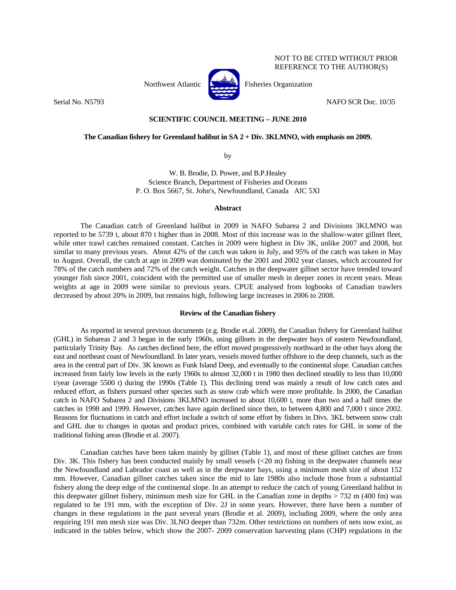

Northwest Atlantic **No. 1989** Fisheries Organization

Serial No. N5793 NAFO SCR Doc. 10/35

NOT TO BE CITED WITHOUT PRIOR REFERENCE TO THE AUTHOR(S)

# **SCIENTIFIC COUNCIL MEETING – JUNE 2010**

## **The Canadian fishery for Greenland halibut in SA 2 + Div. 3KLMNO, with emphasis on 2009.**

by

W. B. Brodie, D. Power, and B.P.Healey Science Branch, Department of Fisheries and Oceans P. O. Box 5667, St. John's, Newfoundland, Canada AlC 5Xl

#### **Abstract**

 The Canadian catch of Greenland halibut in 2009 in NAFO Subarea 2 and Divisions 3KLMNO was reported to be 5739 t, about 870 t higher than in 2008. Most of this increase was in the shallow-water gillnet fleet, while otter trawl catches remained constant. Catches in 2009 were highest in Div 3K, unlike 2007 and 2008, but similar to many previous years. About 42% of the catch was taken in July, and 95% of the catch was taken in May to August. Overall, the catch at age in 2009 was dominated by the 2001 and 2002 year classes, which accounted for 78% of the catch numbers and 72% of the catch weight. Catches in the deepwater gillnet sector have trended toward younger fish since 2001, coincident with the permitted use of smaller mesh in deeper zones in recent years. Mean weights at age in 2009 were similar to previous years. CPUE analysed from logbooks of Canadian trawlers decreased by about 20% in 2009, but remains high, following large increases in 2006 to 2008.

## **Review of the Canadian fishery**

 As reported in several previous documents (e.g. Brodie et.al. 2009), the Canadian fishery for Greenland halibut (GHL) in Subareas 2 and 3 began in the early 1960s, using gillnets in the deepwater bays of eastern Newfoundland, particularly Trinity Bay. As catches declined here, the effort moved progressively northward in the other bays along the east and northeast coast of Newfoundland. In later years, vessels moved further offshore to the deep channels, such as the area in the central part of Div. 3K known as Funk Island Deep, and eventually to the continental slope. Canadian catches increased from fairly low levels in the early 1960s to almost 32,000 t in 1980 then declined steadily to less than 10,000 t/year (average 5500 t) during the 1990s (Table 1). This declining trend was mainly a result of low catch rates and reduced effort, as fishers pursued other species such as snow crab which were more profitable. In 2000, the Canadian catch in NAFO Subarea 2 and Divisions 3KLMNO increased to about 10,600 t, more than two and a half times the catches in 1998 and 1999. However, catches have again declined since then, to between 4,800 and 7,000 t since 2002. Reasons for fluctuations in catch and effort include a switch of some effort by fishers in Divs. 3KL between snow crab and GHL due to changes in quotas and product prices, combined with variable catch rates for GHL in some of the traditional fishing areas (Brodie et al. 2007).

 Canadian catches have been taken mainly by gillnet (Table 1), and most of these gillnet catches are from Div. 3K. This fishery has been conducted mainly by small vessels  $\langle 20 \text{ m} \rangle$  fishing in the deepwater channels near the Newfoundland and Labrador coast as well as in the deepwater bays, using a minimum mesh size of about 152 mm. However, Canadian gillnet catches taken since the mid to late 1980s also include those from a substantial fishery along the deep edge of the continental slope. In an attempt to reduce the catch of young Greenland halibut in this deepwater gillnet fishery, minimum mesh size for GHL in the Canadian zone in depths > 732 m (400 fm) was regulated to be 191 mm, with the exception of Div. 2J in some years. However, there have been a number of changes in these regulations in the past several years (Brodie et al. 2009), including 2009, where the only area requiring 191 mm mesh size was Div. 3LNO deeper than 732m. Other restrictions on numbers of nets now exist, as indicated in the tables below, which show the 2007- 2009 conservation harvesting plans (CHP) regulations in the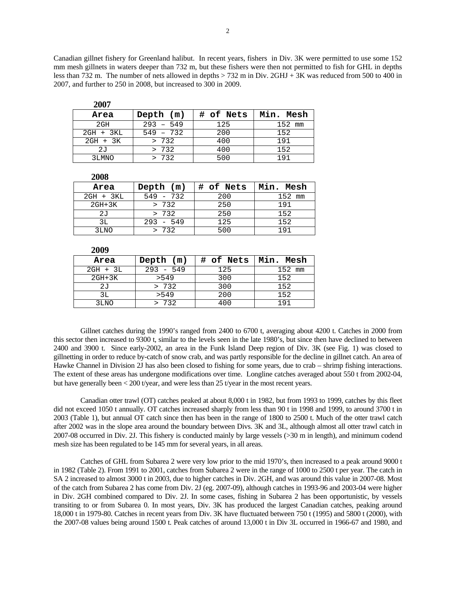Canadian gillnet fishery for Greenland halibut. In recent years, fishers in Div. 3K were permitted to use some 152 mm mesh gillnets in waters deeper than 732 m, but these fishers were then not permitted to fish for GHL in depths less than 732 m. The number of nets allowed in depths > 732 m in Div. 2GHJ + 3K was reduced from 500 to 400 in 2007, and further to 250 in 2008, but increased to 300 in 2009.

| 2007        |             |           |           |
|-------------|-------------|-----------|-----------|
| Area        | Depth $(m)$ | # of Nets | Min. Mesh |
| 2GH         | $293 - 549$ | 125       | 152 mm    |
| $2GH + 3KL$ | $549 - 732$ | 200       | 152       |
| 2GH + 3K    | > 732       | 400       | 191       |
| 2J          | > 732       | 400       | 152       |
| 3LMNO       | > 732       | 500       | 191       |

| ZVVV        |             |           |           |
|-------------|-------------|-----------|-----------|
| Area        | Depth (m)   | # of Nets | Min. Mesh |
| $2GH + 3KL$ | $549 - 732$ | 200       | 152 mm    |
| $2GH+3K$    | > 732       | 250       | 191       |
| 2J          | > 732       | 250       | 152       |
| 3T.         | $293 - 549$ | 125       | 152       |
| 3LNO        | >732        | 500       | 1 9 1     |

| 200 <i>1</i> |             |           |           |
|--------------|-------------|-----------|-----------|
| Area         | Depth $(m)$ | # of Nets | Min. Mesh |
| $2GH + 3L$   | $293 - 549$ | 125       | 152 mm    |
| $2GH+3K$     | > 549       | 300       | 152       |
| 2J           | > 732       | 300       | 152       |
| ЗL           | > 549       | 200       | 152       |
| 3LNO         | 732         | 400       | 191       |

 Gillnet catches during the 1990's ranged from 2400 to 6700 t, averaging about 4200 t. Catches in 2000 from this sector then increased to 9300 t, similar to the levels seen in the late 1980's, but since then have declined to between 2400 and 3900 t. Since early-2002, an area in the Funk Island Deep region of Div. 3K (see Fig. 1) was closed to gillnetting in order to reduce by-catch of snow crab, and was partly responsible for the decline in gillnet catch. An area of Hawke Channel in Division 2J has also been closed to fishing for some years, due to crab – shrimp fishing interactions. The extent of these areas has undergone modifications over time. Longline catches averaged about 550 t from 2002-04, but have generally been  $\lt$  200 t/year, and were less than 25 t/year in the most recent years.

 Canadian otter trawl (OT) catches peaked at about 8,000 t in 1982, but from 1993 to 1999, catches by this fleet did not exceed 1050 t annually. OT catches increased sharply from less than 90 t in 1998 and 1999, to around 3700 t in 2003 (Table 1), but annual OT catch since then has been in the range of 1800 to 2500 t. Much of the otter trawl catch after 2002 was in the slope area around the boundary between Divs. 3K and 3L, although almost all otter trawl catch in 2007-08 occurred in Div. 2J. This fishery is conducted mainly by large vessels (>30 m in length), and minimum codend mesh size has been regulated to be 145 mm for several years, in all areas.

 Catches of GHL from Subarea 2 were very low prior to the mid 1970's, then increased to a peak around 9000 t in 1982 (Table 2). From 1991 to 2001, catches from Subarea 2 were in the range of 1000 to 2500 t per year. The catch in SA 2 increased to almost 3000 t in 2003, due to higher catches in Div. 2GH, and was around this value in 2007-08. Most of the catch from Subarea 2 has come from Div. 2J (eg. 2007-09), although catches in 1993-96 and 2003-04 were higher in Div. 2GH combined compared to Div. 2J. In some cases, fishing in Subarea 2 has been opportunistic, by vessels transiting to or from Subarea 0. In most years, Div. 3K has produced the largest Canadian catches, peaking around 18,000 t in 1979-80. Catches in recent years from Div. 3K have fluctuated between 750 t (1995) and 5800 t (2000), with the 2007-08 values being around 1500 t. Peak catches of around 13,000 t in Div 3L occurred in 1966-67 and 1980, and

**2008** 

**2009**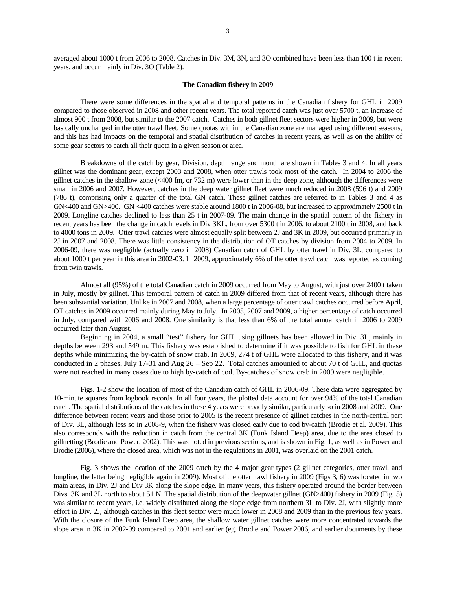averaged about 1000 t from 2006 to 2008. Catches in Div. 3M, 3N, and 3O combined have been less than 100 t in recent years, and occur mainly in Div. 3O (Table 2).

#### **The Canadian fishery in 2009**

 There were some differences in the spatial and temporal patterns in the Canadian fishery for GHL in 2009 compared to those observed in 2008 and other recent years. The total reported catch was just over 5700 t, an increase of almost 900 t from 2008, but similar to the 2007 catch. Catches in both gillnet fleet sectors were higher in 2009, but were basically unchanged in the otter trawl fleet. Some quotas within the Canadian zone are managed using different seasons, and this has had impacts on the temporal and spatial distribution of catches in recent years, as well as on the ability of some gear sectors to catch all their quota in a given season or area.

 Breakdowns of the catch by gear, Division, depth range and month are shown in Tables 3 and 4. In all years gillnet was the dominant gear, except 2003 and 2008, when otter trawls took most of the catch. In 2004 to 2006 the gillnet catches in the shallow zone (<400 fm, or 732 m) were lower than in the deep zone, although the differences were small in 2006 and 2007. However, catches in the deep water gillnet fleet were much reduced in 2008 (596 t) and 2009 (786 t), comprising only a quarter of the total GN catch. These gillnet catches are referred to in Tables 3 and 4 as GN<400 and GN>400. GN <400 catches were stable around 1800 t in 2006-08, but increased to approximately 2500 t in 2009. Longline catches declined to less than 25 t in 2007-09. The main change in the spatial pattern of the fishery in recent years has been the change in catch levels in Div 3KL, from over 5300 t in 2006, to about 2100 t in 2008, and back to 4000 tons in 2009. Otter trawl catches were almost equally split between 2J and 3K in 2009, but occurred primarily in 2J in 2007 and 2008. There was little consistency in the distribution of OT catches by division from 2004 to 2009. In 2006-09, there was negligible (actually zero in 2008) Canadian catch of GHL by otter trawl in Div. 3L, compared to about 1000 t per year in this area in 2002-03. In 2009, approximately 6% of the otter trawl catch was reported as coming from twin trawls.

 Almost all (95%) of the total Canadian catch in 2009 occurred from May to August, with just over 2400 t taken in July, mostly by gillnet. This temporal pattern of catch in 2009 differed from that of recent years, although there has been substantial variation. Unlike in 2007 and 2008, when a large percentage of otter trawl catches occurred before April, OT catches in 2009 occurred mainly during May to July. In 2005, 2007 and 2009, a higher percentage of catch occurred in July, compared with 2006 and 2008. One similarity is that less than 6% of the total annual catch in 2006 to 2009 occurred later than August.

Beginning in 2004, a small "test" fishery for GHL using gillnets has been allowed in Div. 3L, mainly in depths between 293 and 549 m. This fishery was established to determine if it was possible to fish for GHL in these depths while minimizing the by-catch of snow crab. In 2009, 274 t of GHL were allocated to this fishery, and it was conducted in 2 phases, July 17-31 and Aug 26 – Sep 22. Total catches amounted to about 70 t of GHL, and quotas were not reached in many cases due to high by-catch of cod. By-catches of snow crab in 2009 were negligible.

 Figs. 1-2 show the location of most of the Canadian catch of GHL in 2006-09. These data were aggregated by 10-minute squares from logbook records. In all four years, the plotted data account for over 94% of the total Canadian catch. The spatial distributions of the catches in these 4 years were broadly similar, particularly so in 2008 and 2009. One difference between recent years and those prior to 2005 is the recent presence of gillnet catches in the north-central part of Div. 3L, although less so in 2008-9, when the fishery was closed early due to cod by-catch (Brodie et al. 2009). This also corresponds with the reduction in catch from the central 3K (Funk Island Deep) area, due to the area closed to gillnetting (Brodie and Power, 2002). This was noted in previous sections, and is shown in Fig. 1, as well as in Power and Brodie (2006), where the closed area, which was not in the regulations in 2001, was overlaid on the 2001 catch.

 Fig. 3 shows the location of the 2009 catch by the 4 major gear types (2 gillnet categories, otter trawl, and longline, the latter being negligible again in 2009). Most of the otter trawl fishery in 2009 (Figs 3, 6) was located in two main areas, in Div. 2J and Div 3K along the slope edge. In many years, this fishery operated around the border between Divs. 3K and 3L north to about 51 N. The spatial distribution of the deepwater gillnet (GN>400) fishery in 2009 (Fig. 5) was similar to recent years, i.e. widely distributed along the slope edge from northern 3L to Div. 2J, with slightly more effort in Div. 2J, although catches in this fleet sector were much lower in 2008 and 2009 than in the previous few years. With the closure of the Funk Island Deep area, the shallow water gillnet catches were more concentrated towards the slope area in 3K in 2002-09 compared to 2001 and earlier (eg. Brodie and Power 2006, and earlier documents by these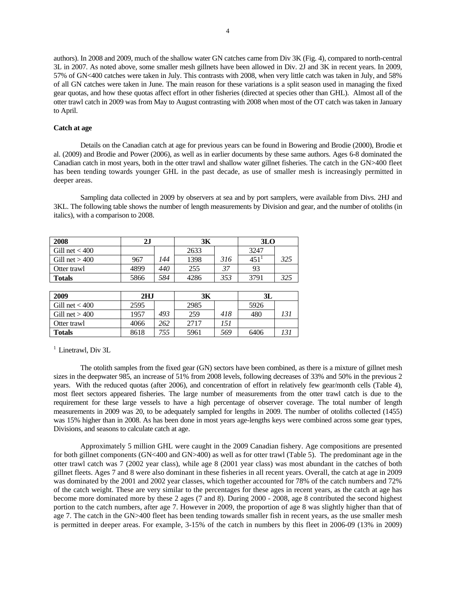authors). In 2008 and 2009, much of the shallow water GN catches came from Div 3K (Fig. 4), compared to north-central 3L in 2007. As noted above, some smaller mesh gillnets have been allowed in Div. 2J and 3K in recent years. In 2009, 57% of GN<400 catches were taken in July. This contrasts with 2008, when very little catch was taken in July, and 58% of all GN catches were taken in June. The main reason for these variations is a split season used in managing the fixed gear quotas, and how these quotas affect effort in other fisheries (directed at species other than GHL). Almost all of the otter trawl catch in 2009 was from May to August contrasting with 2008 when most of the OT catch was taken in January to April.

### **Catch at age**

 Details on the Canadian catch at age for previous years can be found in Bowering and Brodie (2000), Brodie et al. (2009) and Brodie and Power (2006), as well as in earlier documents by these same authors. Ages 6-8 dominated the Canadian catch in most years, both in the otter trawl and shallow water gillnet fisheries. The catch in the GN>400 fleet has been tending towards younger GHL in the past decade, as use of smaller mesh is increasingly permitted in deeper areas.

 Sampling data collected in 2009 by observers at sea and by port samplers, were available from Divs. 2HJ and 3KL. The following table shows the number of length measurements by Division and gear, and the number of otoliths (in italics), with a comparison to 2008.

| 2008             | 3К<br>2J |     |      |     | 3 <sub>LO</sub> |     |
|------------------|----------|-----|------|-----|-----------------|-----|
| Gill net $<$ 400 |          |     | 2633 |     | 3247            |     |
| Gill net $>400$  | 967      | 144 | 1398 | 316 | 451             | 325 |
| Otter trawl      | 4899     | 440 | 255  |     | 93              |     |
| <b>Totals</b>    | 5866     | 584 | 4286 | 353 | 3791            | 325 |

| 2009             | 2HJ  |     | 3К   |     | 3L   |  |  |
|------------------|------|-----|------|-----|------|--|--|
| Gill net $<$ 400 | 2595 |     | 2985 |     | 5926 |  |  |
| Gill net $>400$  | 1957 | 493 | 259  | 418 | 480  |  |  |
| Otter trawl      | 4066 | 262 | 2717 | 151 |      |  |  |
| <b>Totals</b>    | 8618 | 755 | 5961 | 569 | 6406 |  |  |

<sup>1</sup> Linetrawl, Div 3L

 The otolith samples from the fixed gear (GN) sectors have been combined, as there is a mixture of gillnet mesh sizes in the deepwater 985, an increase of 51% from 2008 levels, following decreases of 33% and 50% in the previous 2 years. With the reduced quotas (after 2006), and concentration of effort in relatively few gear/month cells (Table 4), most fleet sectors appeared fisheries. The large number of measurements from the otter trawl catch is due to the requirement for these large vessels to have a high percentage of observer coverage. The total number of length measurements in 2009 was 20, to be adequately sampled for lengths in 2009. The number of otoliths collected (1455) was 15% higher than in 2008. As has been done in most years age-lengths keys were combined across some gear types, Divisions, and seasons to calculate catch at age.

Approximately 5 million GHL were caught in the 2009 Canadian fishery. Age compositions are presented for both gillnet components (GN<400 and GN>400) as well as for otter trawl (Table 5). The predominant age in the otter trawl catch was 7 (2002 year class), while age 8 (2001 year class) was most abundant in the catches of both gillnet fleets. Ages 7 and 8 were also dominant in these fisheries in all recent years. Overall, the catch at age in 2009 was dominated by the 2001 and 2002 year classes, which together accounted for 78% of the catch numbers and 72% of the catch weight. These are very similar to the percentages for these ages in recent years, as the catch at age has become more dominated more by these 2 ages (7 and 8). During 2000 - 2008, age 8 contributed the second highest portion to the catch numbers, after age 7. However in 2009, the proportion of age 8 was slightly higher than that of age 7. The catch in the GN>400 fleet has been tending towards smaller fish in recent years, as the use smaller mesh is permitted in deeper areas. For example, 3-15% of the catch in numbers by this fleet in 2006-09 (13% in 2009)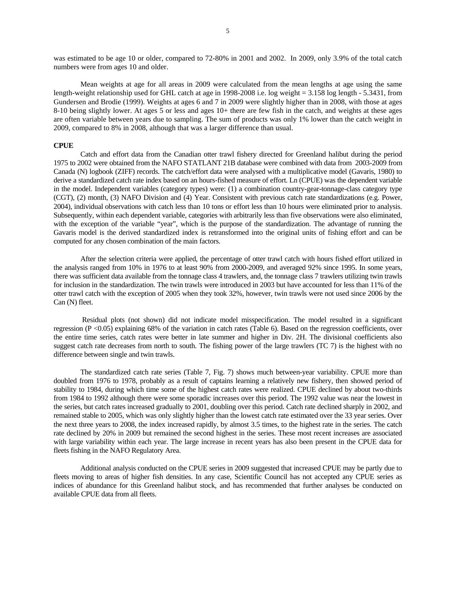was estimated to be age 10 or older, compared to 72-80% in 2001 and 2002. In 2009, only 3.9% of the total catch numbers were from ages 10 and older.

Mean weights at age for all areas in 2009 were calculated from the mean lengths at age using the same length-weight relationship used for GHL catch at age in 1998-2008 i.e. log weight = 3.158 log length - 5.3431, from Gundersen and Brodie (1999). Weights at ages 6 and 7 in 2009 were slightly higher than in 2008, with those at ages 8-10 being slightly lower. At ages  $\overline{5}$  or less and ages 10+ there are few fish in the catch, and weights at these ages are often variable between years due to sampling. The sum of products was only 1% lower than the catch weight in 2009, compared to 8% in 2008, although that was a larger difference than usual.

## **CPUE**

Catch and effort data from the Canadian otter trawl fishery directed for Greenland halibut during the period 1975 to 2002 were obtained from the NAFO STATLANT 21B database were combined with data from 2003-2009 from Canada (N) logbook (ZIFF) records. The catch/effort data were analysed with a multiplicative model (Gavaris, 1980) to derive a standardized catch rate index based on an hours-fished measure of effort. Ln (CPUE) was the dependent variable in the model. Independent variables (category types) were: (1) a combination country-gear-tonnage-class category type (CGT), (2) month, (3) NAFO Division and (4) Year. Consistent with previous catch rate standardizations (e.g. Power, 2004), individual observations with catch less than 10 tons or effort less than 10 hours were eliminated prior to analysis. Subsequently, within each dependent variable, categories with arbitrarily less than five observations were also eliminated, with the exception of the variable "year", which is the purpose of the standardization. The advantage of running the Gavaris model is the derived standardized index is retransformed into the original units of fishing effort and can be computed for any chosen combination of the main factors.

After the selection criteria were applied, the percentage of otter trawl catch with hours fished effort utilized in the analysis ranged from 10% in 1976 to at least 90% from 2000-2009, and averaged 92% since 1995. In some years, there was sufficient data available from the tonnage class 4 trawlers, and, the tonnage class 7 trawlers utilizing twin trawls for inclusion in the standardization. The twin trawls were introduced in 2003 but have accounted for less than 11% of the otter trawl catch with the exception of 2005 when they took 32%, however, twin trawls were not used since 2006 by the Can (N) fleet.

 Residual plots (not shown) did not indicate model misspecification. The model resulted in a significant regression (P <0.05) explaining 68% of the variation in catch rates (Table 6). Based on the regression coefficients, over the entire time series, catch rates were better in late summer and higher in Div. 2H. The divisional coefficients also suggest catch rate decreases from north to south. The fishing power of the large trawlers (TC 7) is the highest with no difference between single and twin trawls.

The standardized catch rate series (Table 7, Fig. 7) shows much between-year variability. CPUE more than doubled from 1976 to 1978, probably as a result of captains learning a relatively new fishery, then showed period of stability to 1984, during which time some of the highest catch rates were realized. CPUE declined by about two-thirds from 1984 to 1992 although there were some sporadic increases over this period. The 1992 value was near the lowest in the series, but catch rates increased gradually to 2001, doubling over this period. Catch rate declined sharply in 2002, and remained stable to 2005, which was only slightly higher than the lowest catch rate estimated over the 33 year series. Over the next three years to 2008, the index increased rapidly, by almost 3.5 times, to the highest rate in the series. The catch rate declined by 20% in 2009 but remained the second highest in the series. These most recent increases are associated with large variability within each year. The large increase in recent years has also been present in the CPUE data for fleets fishing in the NAFO Regulatory Area.

Additional analysis conducted on the CPUE series in 2009 suggested that increased CPUE may be partly due to fleets moving to areas of higher fish densities. In any case, Scientific Council has not accepted any CPUE series as indices of abundance for this Greenland halibut stock, and has recommended that further analyses be conducted on available CPUE data from all fleets.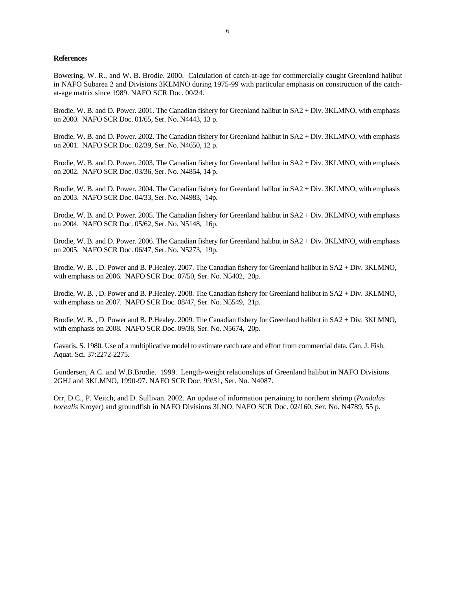## **References**

Bowering, W. R., and W. B. Brodie. 2000. Calculation of catch-at-age for commercially caught Greenland halibut in NAFO Subarea 2 and Divisions 3KLMNO during 1975-99 with particular emphasis on construction of the catchat-age matrix since 1989. NAFO SCR Doc. 00/24.

Brodie, W. B. and D. Power. 2001. The Canadian fishery for Greenland halibut in SA2 + Div. 3KLMNO, with emphasis on 2000. NAFO SCR Doc. 01/65, Ser. No. N4443, 13 p.

Brodie, W. B. and D. Power. 2002. The Canadian fishery for Greenland halibut in SA2 + Div. 3KLMNO, with emphasis on 2001. NAFO SCR Doc. 02/39, Ser. No. N4650, 12 p.

Brodie, W. B. and D. Power. 2003. The Canadian fishery for Greenland halibut in SA2 + Div. 3KLMNO, with emphasis on 2002. NAFO SCR Doc. 03/36, Ser. No. N4854, 14 p.

Brodie, W. B. and D. Power. 2004. The Canadian fishery for Greenland halibut in SA2 + Div. 3KLMNO, with emphasis on 2003. NAFO SCR Doc. 04/33, Ser. No. N4983, 14p.

Brodie, W. B. and D. Power. 2005. The Canadian fishery for Greenland halibut in SA2 + Div. 3KLMNO, with emphasis on 2004. NAFO SCR Doc. 05/62, Ser. No. N5148, 16p.

Brodie, W. B. and D. Power. 2006. The Canadian fishery for Greenland halibut in SA2 + Div. 3KLMNO, with emphasis on 2005. NAFO SCR Doc. 06/47, Ser. No. N5273, 19p.

Brodie, W. B. , D. Power and B. P.Healey. 2007. The Canadian fishery for Greenland halibut in SA2 + Div. 3KLMNO, with emphasis on 2006. NAFO SCR Doc. 07/50, Ser. No. N5402, 20p.

Brodie, W. B. , D. Power and B. P.Healey. 2008. The Canadian fishery for Greenland halibut in SA2 + Div. 3KLMNO, with emphasis on 2007. NAFO SCR Doc. 08/47, Ser. No. N5549, 21p.

Brodie, W. B. , D. Power and B. P.Healey. 2009. The Canadian fishery for Greenland halibut in SA2 + Div. 3KLMNO, with emphasis on 2008. NAFO SCR Doc. 09/38, Ser. No. N5674, 20p.

Gavaris, S. 1980. Use of a multiplicative model to estimate catch rate and effort from commercial data. Can. J. Fish. Aquat. Sci. 37:2272-2275.

Gundersen, A.C. and W.B.Brodie. 1999. Length-weight relationships of Greenland halibut in NAFO Divisions 2GHJ and 3KLMNO, 1990-97. NAFO SCR Doc. 99/31, Ser. No. N4087.

Orr, D.C., P. Veitch, and D. Sullivan. 2002. An update of information pertaining to northern shrimp (*Pandalus borealis* Kroyer) and groundfish in NAFO Divisions 3LNO. NAFO SCR Doc. 02/160, Ser. No. N4789, 55 p.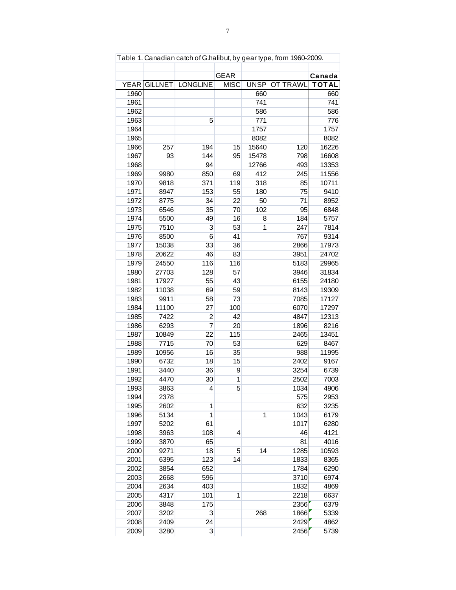| Table 1. Canadian catch of G.halibut, by gear type, from 1960-2009. |                |                 |             |             |                 |               |  |  |  |  |
|---------------------------------------------------------------------|----------------|-----------------|-------------|-------------|-----------------|---------------|--|--|--|--|
|                                                                     |                |                 |             |             |                 |               |  |  |  |  |
|                                                                     |                |                 | <b>GEAR</b> |             |                 | Canada        |  |  |  |  |
| YEAR                                                                | <b>GILLNET</b> | <b>LONGLINE</b> | <b>MISC</b> | <b>UNSP</b> | <b>OT TRAWL</b> | <b>TOTAL</b>  |  |  |  |  |
| 1960                                                                |                |                 |             | 660         |                 | 660           |  |  |  |  |
| 1961                                                                |                |                 |             | 741         |                 | 741           |  |  |  |  |
| 1962                                                                |                |                 |             | 586         |                 | 586           |  |  |  |  |
| 1963                                                                |                | 5               |             | 771         |                 | 776           |  |  |  |  |
| 1964                                                                |                |                 |             | 1757        |                 | 1757          |  |  |  |  |
| 1965                                                                |                |                 |             | 8082        |                 | 8082          |  |  |  |  |
| 1966                                                                | 257            | 194             | 15          | 15640       | 120             | 16226         |  |  |  |  |
| 1967                                                                | 93             | 144             | 95          | 15478       | 798             | 16608         |  |  |  |  |
| 1968                                                                |                | 94              |             | 12766       | 493             | 13353         |  |  |  |  |
| 1969                                                                | 9980           | 850             | 69          | 412         | 245             | 11556         |  |  |  |  |
| 1970                                                                | 9818           | 371             | 119         | 318         | 85              | 10711         |  |  |  |  |
| 1971                                                                | 8947           | 153             | 55          | 180         | 75              | 9410          |  |  |  |  |
| 1972                                                                | 8775           | 34              | 22          | 50          | 71              | 8952          |  |  |  |  |
| 1973                                                                | 6546           | 35              | 70          | 102         | 95              | 6848          |  |  |  |  |
| 1974                                                                | 5500           | 49              | 16          | 8           | 184             | 5757          |  |  |  |  |
| 1975                                                                | 7510           | 3               | 53          | 1           | 247             | 7814          |  |  |  |  |
| 1976                                                                | 8500           | 6               | 41          |             | 767             | 9314          |  |  |  |  |
| 1977                                                                | 15038          | 33              | 36          |             | 2866            | 17973         |  |  |  |  |
| 1978                                                                | 20622          | 46              | 83          |             | 3951            | 24702         |  |  |  |  |
| 1979                                                                | 24550          | 116             | 116         |             | 5183            | 29965         |  |  |  |  |
| 1980                                                                | 27703          | 128             | 57          |             | 3946            | 31834         |  |  |  |  |
| 1981                                                                | 17927          | 55              | 43          |             | 6155            | 24180         |  |  |  |  |
| 1982                                                                | 11038          | 69              | 59          |             | 8143            | 19309         |  |  |  |  |
| 1983                                                                | 9911           | 58              | 73          |             | 7085            | 17127         |  |  |  |  |
| 1984                                                                | 11100          | 27              | 100         |             | 6070            | 17297         |  |  |  |  |
| 1985                                                                | 7422           | $\overline{2}$  | 42          |             | 4847            | 12313         |  |  |  |  |
| 1986                                                                | 6293           | $\overline{7}$  | 20          |             | 1896            | 8216          |  |  |  |  |
| 1987                                                                | 10849          | 22              | 115         |             | 2465            | 13451         |  |  |  |  |
| 1988                                                                | 7715           | 70              | 53          |             | 629             | 8467<br>11995 |  |  |  |  |
| 1989                                                                | 10956          | 16              | 35          |             | 988             |               |  |  |  |  |
| 1990                                                                | 6732           | 18              | 15          |             | 2402            | 9167          |  |  |  |  |
| 1991                                                                | 3440           | 36              | 9           |             | 3254            | 6739          |  |  |  |  |
| 1992                                                                | 4470           | 30              | 1           |             | 2502            | 7003          |  |  |  |  |
| 1993                                                                | 3863           | 4               | 5           |             | 1034            | 4906          |  |  |  |  |
| 1994                                                                | 2378           |                 |             |             | 575             | 2953          |  |  |  |  |
| 1995                                                                | 2602<br>5134   | 1<br>1          |             | 1           | 632             | 3235          |  |  |  |  |
| 1996<br>1997                                                        |                |                 |             |             | 1043            | 6179          |  |  |  |  |
| 1998                                                                | 5202<br>3963   | 61<br>108       | 4           |             | 1017<br>46      | 6280<br>4121  |  |  |  |  |
| 1999                                                                | 3870           |                 |             |             |                 | 4016          |  |  |  |  |
| 2000                                                                | 9271           | 65<br>18        | 5           | 14          | 81<br>1285      | 10593         |  |  |  |  |
| 2001                                                                | 6395           | 123             | 14          |             | 1833            | 8365          |  |  |  |  |
| 2002                                                                | 3854           | 652             |             |             | 1784            | 6290          |  |  |  |  |
| 2003                                                                | 2668           | 596             |             |             | 3710            | 6974          |  |  |  |  |
| 2004                                                                | 2634           | 403             |             |             | 1832            | 4869          |  |  |  |  |
| 2005                                                                | 4317           | 101             | 1           |             | 2218            | 6637          |  |  |  |  |
| 2006                                                                |                | 175             |             |             | 2356            | 6379          |  |  |  |  |
| 2007                                                                | 3848<br>3202   | 3               |             | 268         | 1866            | 5339          |  |  |  |  |
| 2008                                                                | 2409           | 24              |             |             | 2429            | 4862          |  |  |  |  |
| 2009                                                                | 3280           | 3               |             |             | 2456            | 5739          |  |  |  |  |
|                                                                     |                |                 |             |             |                 |               |  |  |  |  |

Table 1. Canadian catch of G.halibut, by gear type, from 1960-2009.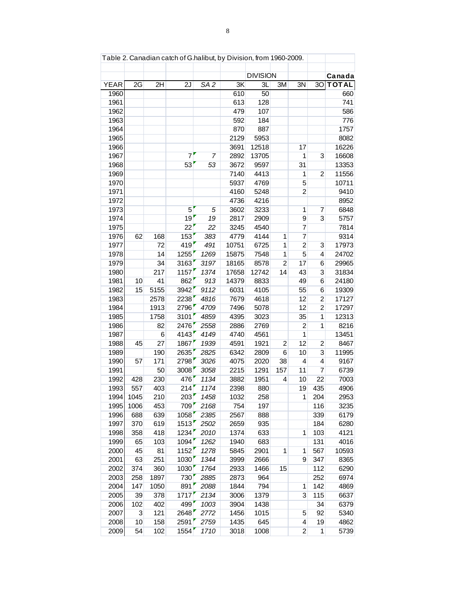| Table 2. Canadian catch of G.halibut, by Division, from 1960-2009. |      |      |                   |                 |       |                 |                |                |                |              |  |  |
|--------------------------------------------------------------------|------|------|-------------------|-----------------|-------|-----------------|----------------|----------------|----------------|--------------|--|--|
|                                                                    |      |      |                   |                 |       |                 |                |                |                |              |  |  |
|                                                                    |      |      |                   |                 |       | <b>DIVISION</b> |                |                |                | Canada       |  |  |
| <b>YEAR</b>                                                        | 2G   | 2H   | 2J                | SA <sub>2</sub> | 3K    | 3L              | 3M             | 3N             | 3O             | <b>TOTAL</b> |  |  |
| 1960                                                               |      |      |                   |                 | 610   | 50              |                |                |                | 660          |  |  |
| 1961                                                               |      |      |                   |                 | 613   | 128             |                |                |                | 741          |  |  |
| 1962                                                               |      |      |                   |                 | 479   | 107             |                |                |                | 586          |  |  |
| 1963                                                               |      |      |                   |                 | 592   | 184             |                |                |                | 776          |  |  |
| 1964                                                               |      |      |                   |                 | 870   | 887             |                |                |                | 1757         |  |  |
| 1965                                                               |      |      |                   |                 | 2129  | 5953            |                |                |                | 8082         |  |  |
| 1966                                                               |      |      |                   |                 | 3691  | 12518           |                | 17             |                | 16226        |  |  |
| 1967                                                               |      |      | $\overline{7}$    | 7               | 2892  | 13705           |                | 1              | 3              | 16608        |  |  |
| 1968                                                               |      |      | 53                | 53              | 3672  | 9597            |                | 31             |                | 13353        |  |  |
| 1969                                                               |      |      |                   |                 | 7140  | 4413            |                | 1              | $\overline{2}$ | 11556        |  |  |
| 1970                                                               |      |      |                   |                 | 5937  | 4769            |                | 5              |                | 10711        |  |  |
| 1971                                                               |      |      |                   |                 | 4160  | 5248            |                | $\overline{2}$ |                | 9410         |  |  |
| 1972                                                               |      |      |                   |                 | 4736  | 4216            |                |                |                | 8952         |  |  |
| 1973                                                               |      |      | 5                 | 5               | 3602  | 3233            |                | 1              | 7              | 6848         |  |  |
| 1974                                                               |      |      | 19                | 19              | 2817  | 2909            |                | 9              | 3              | 5757         |  |  |
| 1975                                                               |      |      | 22                | 22              | 3245  | 4540            |                | 7              |                | 7814         |  |  |
| 1976                                                               | 62   | 168  | 153               | 383             | 4779  | 4144            | 1              | 7              |                | 9314         |  |  |
| 1977                                                               |      | 72   | 419               | 491             | 10751 | 6725            | 1              | $\overline{2}$ | 3              | 17973        |  |  |
| 1978                                                               |      | 14   | 1255              | 1269            | 15875 | 7548            | 1              | 5              | 4              | 24702        |  |  |
| 1979                                                               |      | 34   | 3163              | 3197            | 18165 | 8578            | $\overline{2}$ | 17             | 6              | 29965        |  |  |
| 1980                                                               |      | 217  | 1157              | 1374            | 17658 | 12742           | 14             | 43             | 3              | 31834        |  |  |
| 1981                                                               | 10   | 41   | 862               | 913             | 14379 | 8833            |                | 49             | 6              | 24180        |  |  |
| 1982                                                               | 15   | 5155 | 3942              | 9112            | 6031  | 4105            |                | 55             | 6              | 19309        |  |  |
| 1983                                                               |      | 2578 | 2238              | 4816            | 7679  | 4618            |                | 12             | $\overline{c}$ | 17127        |  |  |
| 1984                                                               |      | 1913 | 2796              | 4709            | 7496  | 5078            |                | 12             | $\overline{2}$ | 17297        |  |  |
| 1985                                                               |      | 1758 | 3101              | 4859            | 4395  | 3023            |                | 35             | 1              | 12313        |  |  |
| 1986                                                               |      | 82   | 2476              | 2558            | 2886  | 2769            |                | $\overline{2}$ | 1              | 8216         |  |  |
| 1987                                                               |      | 6    | 4143              | 4149            | 4740  | 4561            |                | $\overline{1}$ |                | 13451        |  |  |
| 1988                                                               | 45   | 27   | 1867              | 1939            | 4591  | 1921            | 2              | 12             | $\overline{c}$ | 8467         |  |  |
| 1989                                                               |      | 190  | 2635              | 2825            | 6342  | 2809            | 6              | 10             | 3              | 11995        |  |  |
| 1990                                                               | 57   | 171  | 2798              | 3026            | 4075  | 2020            | 38             | 4              | $\overline{4}$ | 9167         |  |  |
| 1991                                                               |      | 50   | 3008              | 3058            | 2215  | 1291            | 157            | 11             | $\overline{7}$ | 6739         |  |  |
| 1992                                                               | 428  | 230  | 476               | 1134            | 3882  | 1951            | 4              | 10             | 22             | 7003         |  |  |
| 1993                                                               | 557  | 403  | 214               | 1174            | 2398  | 880             |                | 19             | 435            | 4906         |  |  |
| 1994                                                               | 1045 | 210  | 203               | 1458            | 1032  | 258             |                | 1              | 204            | 2953         |  |  |
| 1995                                                               | 1006 | 453  | 709               | 2168            | 754   | 197             |                |                | 116            | 3235         |  |  |
| 1996                                                               | 688  | 639  | 1058              | 2385            | 2567  | 888             |                |                | 339            | 6179         |  |  |
| 1997                                                               | 370  | 619  | 1513              | 2502            | 2659  | 935             |                |                | 184            | 6280         |  |  |
| 1998                                                               | 358  | 418  | 1234              | 2010            | 1374  | 633             |                | 1              | 103            | 4121         |  |  |
| 1999                                                               | 65   | 103  | 1094              | 1262            | 1940  | 683             |                |                | 131            | 4016         |  |  |
| 2000                                                               | 45   | 81   | 1152              | 1278            | 5845  | 2901            | 1              | 1              | 567            | 10593        |  |  |
| 2001                                                               | 63   | 251  | 1030              | 1344            | 3999  | 2666            |                | 9              | 347            | 8365         |  |  |
| 2002                                                               | 374  | 360  | 1030              | 1764            | 2933  | 1466            | 15             |                | 112            | 6290         |  |  |
| 2003                                                               | 258  | 1897 | 730               | 2885            | 2873  | 964             |                |                | 252            | 6974         |  |  |
| 2004                                                               | 147  | 1050 | 891               | 2088            | 1844  | 794             |                | 1              | 142            | 4869         |  |  |
| 2005                                                               | 39   | 378  | 1717              | 2134            | 3006  | 1379            |                | 3              | 115            | 6637         |  |  |
| 2006                                                               | 102  | 402  | 499               | 1003            | 3904  | 1438            |                |                | 34             | 6379         |  |  |
| 2007                                                               | 3    | 121  | 2648              | 2772            | 1456  | 1015            |                | 5              | 92             | 5340         |  |  |
| 2008                                                               | 10   | 158  | 2591              | 2759            | 1435  | 645             |                | 4              | 19             | 4862         |  |  |
| 2009                                                               | 54   | 102  | 1554 <sup>'</sup> | 1710            | 3018  | 1008            |                | $\overline{2}$ | $\mathbf 1$    | 5739         |  |  |

Table 2. Canadian catch of G.halibut, by Division, from 1960-2009.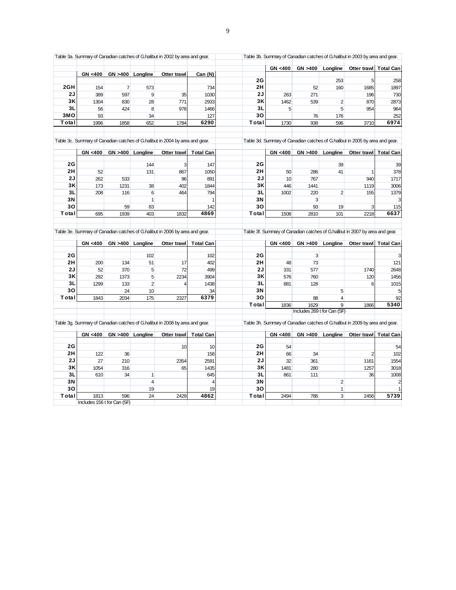|         |                                                                 |                   |                                                                                                         |                                                               |                                                                                                                                                                                                                                                       | GN <400                                      |                                        |                                   | Otter trawl   Total Can                                                                                                               |                                                                                                                                                                                                                                                                                                                                                                                                                    |
|---------|-----------------------------------------------------------------|-------------------|---------------------------------------------------------------------------------------------------------|---------------------------------------------------------------|-------------------------------------------------------------------------------------------------------------------------------------------------------------------------------------------------------------------------------------------------------|----------------------------------------------|----------------------------------------|-----------------------------------|---------------------------------------------------------------------------------------------------------------------------------------|--------------------------------------------------------------------------------------------------------------------------------------------------------------------------------------------------------------------------------------------------------------------------------------------------------------------------------------------------------------------------------------------------------------------|
|         |                                                                 |                   |                                                                                                         |                                                               |                                                                                                                                                                                                                                                       |                                              |                                        |                                   |                                                                                                                                       | 258                                                                                                                                                                                                                                                                                                                                                                                                                |
|         |                                                                 |                   |                                                                                                         |                                                               |                                                                                                                                                                                                                                                       |                                              |                                        |                                   |                                                                                                                                       | 1897                                                                                                                                                                                                                                                                                                                                                                                                               |
|         |                                                                 |                   |                                                                                                         |                                                               |                                                                                                                                                                                                                                                       |                                              |                                        |                                   |                                                                                                                                       | 730                                                                                                                                                                                                                                                                                                                                                                                                                |
|         |                                                                 |                   |                                                                                                         |                                                               |                                                                                                                                                                                                                                                       |                                              |                                        |                                   |                                                                                                                                       | 2873                                                                                                                                                                                                                                                                                                                                                                                                               |
|         |                                                                 |                   |                                                                                                         |                                                               |                                                                                                                                                                                                                                                       |                                              |                                        |                                   |                                                                                                                                       | 964                                                                                                                                                                                                                                                                                                                                                                                                                |
|         |                                                                 |                   |                                                                                                         |                                                               |                                                                                                                                                                                                                                                       |                                              |                                        |                                   |                                                                                                                                       | 252                                                                                                                                                                                                                                                                                                                                                                                                                |
| 1996    | 1858                                                            | 652               | 1784                                                                                                    | 6290                                                          | Total                                                                                                                                                                                                                                                 | 1730                                         | 938                                    | 596                               | 3710                                                                                                                                  | 6974                                                                                                                                                                                                                                                                                                                                                                                                               |
|         |                                                                 |                   |                                                                                                         |                                                               |                                                                                                                                                                                                                                                       |                                              |                                        |                                   |                                                                                                                                       |                                                                                                                                                                                                                                                                                                                                                                                                                    |
|         |                                                                 |                   |                                                                                                         |                                                               |                                                                                                                                                                                                                                                       |                                              |                                        |                                   |                                                                                                                                       |                                                                                                                                                                                                                                                                                                                                                                                                                    |
|         |                                                                 |                   |                                                                                                         |                                                               |                                                                                                                                                                                                                                                       |                                              |                                        |                                   |                                                                                                                                       |                                                                                                                                                                                                                                                                                                                                                                                                                    |
|         |                                                                 | 144               | 3                                                                                                       | 147                                                           | 2G                                                                                                                                                                                                                                                    |                                              |                                        | 39                                |                                                                                                                                       | 39                                                                                                                                                                                                                                                                                                                                                                                                                 |
| 52      |                                                                 | 131               | 867                                                                                                     | 1050                                                          |                                                                                                                                                                                                                                                       | 50                                           | 286                                    | 41                                | -1                                                                                                                                    | 378                                                                                                                                                                                                                                                                                                                                                                                                                |
| 262     | 533                                                             |                   | 96                                                                                                      | 891                                                           | 2J                                                                                                                                                                                                                                                    | 10                                           | 767                                    |                                   | 940                                                                                                                                   | 1717                                                                                                                                                                                                                                                                                                                                                                                                               |
| 173     | 1231                                                            | 38                | 402                                                                                                     | 1844                                                          | 3K                                                                                                                                                                                                                                                    | 446                                          | 1441                                   |                                   | 1119                                                                                                                                  | 3006                                                                                                                                                                                                                                                                                                                                                                                                               |
| 208     | 116                                                             | 6                 | 464                                                                                                     | 794                                                           | 3L                                                                                                                                                                                                                                                    | 1002                                         | 220                                    | $\overline{2}$                    | 155                                                                                                                                   | 1379                                                                                                                                                                                                                                                                                                                                                                                                               |
|         |                                                                 | $\mathbf{1}$      |                                                                                                         | 1                                                             | 3N                                                                                                                                                                                                                                                    |                                              | 3                                      |                                   |                                                                                                                                       | 3                                                                                                                                                                                                                                                                                                                                                                                                                  |
|         | 59                                                              | 83                |                                                                                                         | 142                                                           | 30                                                                                                                                                                                                                                                    |                                              | 93                                     | 19                                | 3                                                                                                                                     | 115                                                                                                                                                                                                                                                                                                                                                                                                                |
| 695     | 1939                                                            | 403               | 1832                                                                                                    | 4869                                                          | Total                                                                                                                                                                                                                                                 | 1508                                         | 2810                                   | 101                               | 2218                                                                                                                                  | 6637                                                                                                                                                                                                                                                                                                                                                                                                               |
|         |                                                                 |                   |                                                                                                         |                                                               |                                                                                                                                                                                                                                                       |                                              |                                        |                                   |                                                                                                                                       |                                                                                                                                                                                                                                                                                                                                                                                                                    |
|         |                                                                 |                   |                                                                                                         |                                                               |                                                                                                                                                                                                                                                       |                                              |                                        |                                   |                                                                                                                                       |                                                                                                                                                                                                                                                                                                                                                                                                                    |
|         |                                                                 | 102               |                                                                                                         | 102                                                           | 2G                                                                                                                                                                                                                                                    |                                              | 3                                      |                                   |                                                                                                                                       | 3                                                                                                                                                                                                                                                                                                                                                                                                                  |
| 200     | 134                                                             | 51                | 17                                                                                                      | 402                                                           | 2H                                                                                                                                                                                                                                                    | 48                                           | 73                                     |                                   |                                                                                                                                       | 121                                                                                                                                                                                                                                                                                                                                                                                                                |
| 52      | 370                                                             | 5                 | 72                                                                                                      | 499                                                           | 2J                                                                                                                                                                                                                                                    | 331                                          | 577                                    |                                   | 1740                                                                                                                                  | 2648                                                                                                                                                                                                                                                                                                                                                                                                               |
| 292     | 1373                                                            | 5                 | 2234                                                                                                    | 3904                                                          |                                                                                                                                                                                                                                                       | 576                                          | 760                                    |                                   | 120                                                                                                                                   | 1456                                                                                                                                                                                                                                                                                                                                                                                                               |
| 1299    | 133                                                             | $\overline{c}$    | 4                                                                                                       | 1438                                                          | 3L                                                                                                                                                                                                                                                    | 881                                          | 128                                    |                                   | 6                                                                                                                                     | 1015                                                                                                                                                                                                                                                                                                                                                                                                               |
|         | 24                                                              | 10                |                                                                                                         | 34                                                            | 3N                                                                                                                                                                                                                                                    |                                              |                                        | 5                                 |                                                                                                                                       | 5                                                                                                                                                                                                                                                                                                                                                                                                                  |
|         |                                                                 |                   |                                                                                                         |                                                               |                                                                                                                                                                                                                                                       |                                              |                                        |                                   |                                                                                                                                       |                                                                                                                                                                                                                                                                                                                                                                                                                    |
|         |                                                                 |                   |                                                                                                         |                                                               | 30                                                                                                                                                                                                                                                    |                                              |                                        |                                   |                                                                                                                                       | 92                                                                                                                                                                                                                                                                                                                                                                                                                 |
|         |                                                                 |                   |                                                                                                         |                                                               | Total                                                                                                                                                                                                                                                 | 1836                                         | 1629                                   | 9                                 | 1866                                                                                                                                  | 5340                                                                                                                                                                                                                                                                                                                                                                                                               |
|         |                                                                 |                   |                                                                                                         |                                                               |                                                                                                                                                                                                                                                       |                                              | Includes 269 t for Can (SF)            |                                   |                                                                                                                                       |                                                                                                                                                                                                                                                                                                                                                                                                                    |
|         |                                                                 |                   | Table 3g. Summary of Canadian catches of G.halibut in 2008 by area and gear.                            |                                                               |                                                                                                                                                                                                                                                       |                                              |                                        |                                   | Table 3h. Summary of Canadian catches of G.halibut in 2009 by area and gear.                                                          |                                                                                                                                                                                                                                                                                                                                                                                                                    |
| GN <400 |                                                                 | GN >400 Longline  | Otter trawl                                                                                             | <b>Total Can</b>                                              |                                                                                                                                                                                                                                                       | GN <400                                      | GN > 400                               | Longline                          | Otter trawl   Total Can                                                                                                               |                                                                                                                                                                                                                                                                                                                                                                                                                    |
|         |                                                                 |                   | 10                                                                                                      | 10                                                            | 2G                                                                                                                                                                                                                                                    | 54                                           |                                        |                                   |                                                                                                                                       | 54                                                                                                                                                                                                                                                                                                                                                                                                                 |
| 122     | 36                                                              |                   |                                                                                                         | 158                                                           | 2H                                                                                                                                                                                                                                                    | 66                                           | 34                                     |                                   | $\overline{2}$                                                                                                                        | 102                                                                                                                                                                                                                                                                                                                                                                                                                |
| 27      | 210                                                             |                   | 2354                                                                                                    | 2591                                                          | 2J                                                                                                                                                                                                                                                    | 32                                           | 361                                    |                                   | 1161                                                                                                                                  | 1554                                                                                                                                                                                                                                                                                                                                                                                                               |
| 1054    | 316                                                             |                   | 65                                                                                                      | 1435                                                          | 3K                                                                                                                                                                                                                                                    | 1481                                         | 280                                    |                                   | 1257                                                                                                                                  | 3018                                                                                                                                                                                                                                                                                                                                                                                                               |
| 610     | 34                                                              | 1                 |                                                                                                         | 645                                                           | 3L                                                                                                                                                                                                                                                    | 861                                          | 111                                    |                                   | 36                                                                                                                                    | 1008                                                                                                                                                                                                                                                                                                                                                                                                               |
|         |                                                                 | $\overline{4}$    |                                                                                                         | $\overline{4}$                                                | 3N                                                                                                                                                                                                                                                    |                                              |                                        | 2                                 |                                                                                                                                       | $\overline{a}$                                                                                                                                                                                                                                                                                                                                                                                                     |
|         |                                                                 | 19                |                                                                                                         | 19                                                            | 30                                                                                                                                                                                                                                                    |                                              |                                        | $\mathbf{1}$                      |                                                                                                                                       |                                                                                                                                                                                                                                                                                                                                                                                                                    |
| 1813    | 596                                                             | 24                | 2429                                                                                                    | 4862                                                          | Total                                                                                                                                                                                                                                                 | 2494                                         | 786                                    | 3                                 | 2456                                                                                                                                  | 5739                                                                                                                                                                                                                                                                                                                                                                                                               |
|         | GN <400<br>154<br>389<br>1304<br>56<br>93<br>GN <400<br>GN <400 | 597<br>830<br>424 | GN >400 Longline<br>$\overline{7}$<br>573<br>9<br>28<br>8<br>34<br>GN >400 Longline<br>GN >400 Longline | Otter trawl<br>35<br>771<br>978<br>Otter trawl<br>Otter trawl | Can (N)<br>734<br>1030<br>2933<br>1466<br>127<br>Table 3c. Summary of Canadian catches of G.halibut in 2004 by area and gear.<br><b>Total Can</b><br>Table 3e. Summary of Canadian catches of G.halibut in 2006 by area and gear.<br><b>Total Can</b> | 2G<br>2H<br>2J<br>3K<br>3L<br>30<br>2H<br>3K | 263<br>1462<br>5<br>GN <400<br>GN <400 | 52<br>271<br>539<br>76<br>GN >400 | GN >400 Longline<br>253<br>160<br>2<br>5<br>176<br>GN > 400<br>Longline<br>Longline<br>6379<br>175<br>1843<br>2034<br>2327<br>88<br>4 | Table 3a. Summary of Canadian catches of G.halibut in 2002 by area and gear.<br>Table 3b. Summary of Canadian catches of G.halibut in 2003 by area and gear.<br>5<br>1685<br>196<br>870<br>954<br>Table 3d. Summary of Canadian catches of G.halibut in 2005 by area and gear.<br>Otter trawl Total Can<br>Table 3f. Summary of Canadian catches of G.halibut in 2007 by area and gear.<br>Otter trawl   Total Can |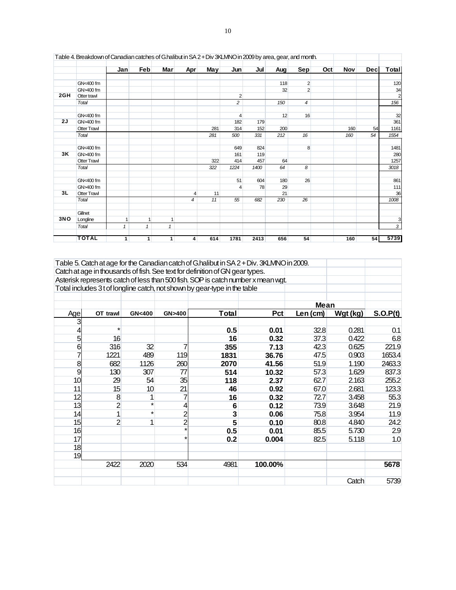|     | Table 4. Breakdown of Canadian catches of G.halibut in SA 2 + Div 3KLMNO in 2009 by area, gear, and month. |              |              |              |                |     |                |      |     |                |     |            |            |                |
|-----|------------------------------------------------------------------------------------------------------------|--------------|--------------|--------------|----------------|-----|----------------|------|-----|----------------|-----|------------|------------|----------------|
|     |                                                                                                            | Jan          | Feb          | <b>Mar</b>   | Apr            | May | Jun            | Jul  | Aug | <b>Sep</b>     | Oct | <b>Nov</b> | <b>Dec</b> | Total          |
|     |                                                                                                            |              |              |              |                |     |                |      |     |                |     |            |            |                |
|     | GN<400 fm                                                                                                  |              |              |              |                |     |                |      | 118 | $\overline{2}$ |     |            |            | 120            |
|     | GN>400 fm                                                                                                  |              |              |              |                |     |                |      | 32  | $\overline{2}$ |     |            |            | 34             |
| 2GH | Otter trawl                                                                                                |              |              |              |                |     | $\overline{2}$ |      |     |                |     |            |            | $\overline{2}$ |
|     | Total                                                                                                      |              |              |              |                |     | $\overline{c}$ |      | 150 | 4              |     |            |            | 156            |
|     | GN<400 fm                                                                                                  |              |              |              |                |     | $\overline{4}$ |      | 12  | 16             |     |            |            | 32             |
| 2J  | GN>400 fm                                                                                                  |              |              |              |                |     | 182            | 179  |     |                |     |            |            | 361            |
|     | <b>Otter Trawl</b>                                                                                         |              |              |              |                | 281 | 314            | 152  | 200 |                |     | 160        | 54         | 1161           |
|     | Total                                                                                                      |              |              |              |                | 281 | 500            | 331  | 212 | 16             |     | 160        | 54         | 1554           |
|     | GN<400 fm                                                                                                  |              |              |              |                |     | 649            | 824  |     | 8              |     |            |            | 1481           |
| 3K  | GN>400 fm                                                                                                  |              |              |              |                |     | 161            | 119  |     |                |     |            |            | 280            |
|     | <b>Otter Trawl</b>                                                                                         |              |              |              |                | 322 | 414            | 457  | 64  |                |     |            |            | 1257           |
|     | Total                                                                                                      |              |              |              |                | 322 | 1224           | 1400 | 64  | 8              |     |            |            | 3018           |
|     | GN<400 fm                                                                                                  |              |              |              |                |     | 51             | 604  | 180 | 26             |     |            |            | 861            |
|     | GN>400 fm                                                                                                  |              |              |              |                |     | 4              | 78   | 29  |                |     |            |            | 111            |
| 3L  | <b>Otter Trawl</b>                                                                                         |              |              |              | 4              | 11  |                |      | 21  |                |     |            |            | 36             |
|     | Total                                                                                                      |              |              |              | $\overline{4}$ | 11  | 55             | 682  | 230 | 26             |     |            |            | 1008           |
|     | Gillnet                                                                                                    |              |              |              |                |     |                |      |     |                |     |            |            |                |
| 3NO | Longline                                                                                                   | 1            | 1            | 1            |                |     |                |      |     |                |     |            |            | 3              |
|     | Total                                                                                                      | $\mathbf{1}$ | $\mathbf{1}$ | $\mathbf{1}$ |                |     |                |      |     |                |     |            |            | 3              |
|     | <b>TOTAL</b>                                                                                               | 1            | 1            | 1            | 4              | 614 | 1781           | 2413 | 656 | 54             |     | 160        | 54         | 5739           |

| Table 4. Breakdown of Canadian catches of G.halibut in SA 2 + Div 3KLMNO in 2009 by area, gear, and month. |  |  |  |  |  |
|------------------------------------------------------------------------------------------------------------|--|--|--|--|--|
|                                                                                                            |  |  |  |  |  |

| Table 5. Catch at age for the Canadian catch of G.halibut in SA 2 + Div. 3KLMNO in 2009. |  |  |  |  |  |  |  |  |  |  |  |  |
|------------------------------------------------------------------------------------------|--|--|--|--|--|--|--|--|--|--|--|--|
| Catch at age in thousands of fish. See text for definition of GN gear types.             |  |  |  |  |  |  |  |  |  |  |  |  |
| Asterisk represents catch of less than 500 fish. SOP is catch number x mean wgt.         |  |  |  |  |  |  |  |  |  |  |  |  |
| Total includes 3t of longline catch, not shown by gear-type in the table                 |  |  |  |  |  |  |  |  |  |  |  |  |
|                                                                                          |  |  |  |  |  |  |  |  |  |  |  |  |

|     |                |                  |                | , out in places of only ight to sale in the content by goal type in the lable |         |             |          |          |
|-----|----------------|------------------|----------------|-------------------------------------------------------------------------------|---------|-------------|----------|----------|
|     |                |                  |                |                                                                               |         | <b>Mean</b> |          |          |
| Age | OT trawl       | <b>GN&lt;400</b> | GN>400         | Total                                                                         | Pct     | $Len$ (cm)  | Wgt (kg) | S.O.P(t) |
| 3   |                |                  |                |                                                                               |         |             |          |          |
| 4   | $\star$        |                  |                | 0.5                                                                           | 0.01    | 32.8        | 0.281    | 0.1      |
| 5   | 16             |                  |                | 16                                                                            | 0.32    | 37.3        | 0.422    | 6.8      |
| 6   | 316            | 32               |                | 355                                                                           | 7.13    | 42.3        | 0.625    | 221.9    |
|     | 1221           | 489              | 119            | 1831                                                                          | 36.76   | 47.5        | 0.903    | 1653.4   |
| 8   | 682            | 1126             | 260            | 2070                                                                          | 41.56   | 51.9        | 1.190    | 2463.3   |
| 9   | 130            | 307              | 77             | 514                                                                           | 10.32   | 57.3        | 1.629    | 837.3    |
| 10  | 29             | 54               | 35             | 118                                                                           | 2.37    | 62.7        | 2.163    | 255.2    |
| 11  | 15             | 10               | 21             | 46                                                                            | 0.92    | 67.0        | 2.681    | 123.3    |
| 12  | 8              | 1                | 7              | 16                                                                            | 0.32    | 72.7        | 3.458    | 55.3     |
| 13  | $\overline{2}$ | $\star$          | 4              | 6                                                                             | 0.12    | 73.9        | 3.648    | 21.9     |
| 14  | 1              | $\star$          | $\overline{c}$ | 3                                                                             | 0.06    | 75.8        | 3.954    | 11.9     |
| 15  | $\overline{2}$ | 1                | $\overline{2}$ | 5                                                                             | 0.10    | 80.8        | 4.840    | 24.2     |
| 16  |                |                  |                | 0.5                                                                           | 0.01    | 85.5        | 5.730    | 2.9      |
| 17  |                |                  | $\star$        | 0.2                                                                           | 0.004   | 82.5        | 5.118    | 1.0      |
| 18  |                |                  |                |                                                                               |         |             |          |          |
| 19  |                |                  |                |                                                                               |         |             |          |          |
|     | 2422           | 2020             | 534            | 4981                                                                          | 100.00% |             |          | 5678     |
|     |                |                  |                |                                                                               |         |             |          |          |
|     |                |                  |                |                                                                               |         |             | Catch    | 5739     |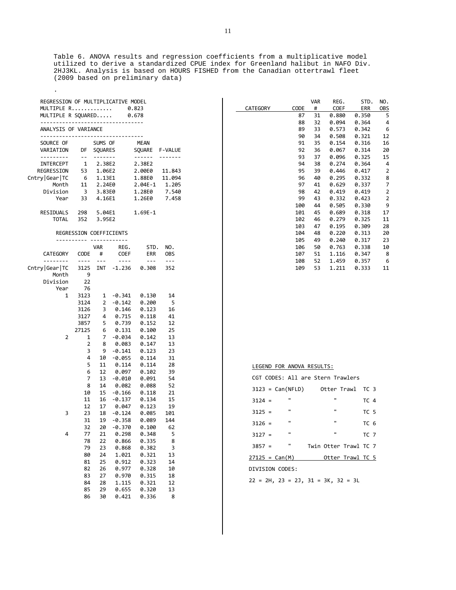Table 6. ANOVA results and regression coefficients from a multiplicative model utilized to derive a standardized CPUE index for Greenland halibut in NAFO Div. 2HJ3KL. Analysis is based on HOURS FISHED from the Canadian ottertrawl fleet (2009 based on preliminary data)

| REGRESSION OF MULTIPLICATIVE MODEL<br>MULTIPLE R 0.823<br>MULTIPLE R SQUARED 0.678            |                |                         |                                         |                       |                |  |  |  |  |
|-----------------------------------------------------------------------------------------------|----------------|-------------------------|-----------------------------------------|-----------------------|----------------|--|--|--|--|
| ----------------------------------<br>ANALYSIS OF VARIANCE<br>------------------------------- |                |                         |                                         |                       |                |  |  |  |  |
| SOURCE OF<br>VARIATION                                                                        | <b>DF</b>      | SUMS OF<br>SQUARES      |                                         | MEAN<br>SQUARE        | <b>F-VALUE</b> |  |  |  |  |
| ---------                                                                                     | $\sim$ $ \sim$ | -------                 |                                         | ------                | -------        |  |  |  |  |
| INTERCEPT                                                                                     |                |                         |                                         | 2.38E2                |                |  |  |  |  |
| REGRESSION                                                                                    |                |                         |                                         | 2.00E0 11.843         |                |  |  |  |  |
| Cntry Gear   TC                                                                               |                | 1.13E1                  |                                         | 1.88E0 11.094         |                |  |  |  |  |
| Month                                                                                         |                |                         |                                         | $2.04E-1$             | 1.205          |  |  |  |  |
| Division                                                                                      |                |                         | 3 3.83E0                                | 1.28E0 7.540          |                |  |  |  |  |
| Year                                                                                          | 33             | 4.16E1                  |                                         | 1.26E0                | 7.458          |  |  |  |  |
| RESIDUALS 298 5.04E1<br><b>TOTAL</b>                                                          | 352            | 3.95E2                  |                                         | $1.69E-1$             |                |  |  |  |  |
|                                                                                               |                |                         |                                         |                       |                |  |  |  |  |
|                                                                                               | --------       |                         | REGRESSION COEFFICIENTS<br>------------ |                       |                |  |  |  |  |
|                                                                                               |                | VAR                     | REG.                                    | STD.                  | NO.            |  |  |  |  |
| CATEGORY                                                                                      | CODE           | #                       | COEF                                    | ERR                   | OBS            |  |  |  |  |
| --------                                                                                      | $\cdots$       | $- - -$                 | $- - - -$                               | $- - -$               | $---$          |  |  |  |  |
| Cntry Gear TC                                                                                 |                |                         |                                         | 3125 INT -1.236 0.308 | 352            |  |  |  |  |
| Month                                                                                         | - 9            |                         |                                         |                       |                |  |  |  |  |
| Division                                                                                      | 22             |                         |                                         |                       |                |  |  |  |  |
| Year                                                                                          | 76             |                         |                                         |                       |                |  |  |  |  |
| 1                                                                                             |                |                         |                                         | 3123 1 -0.341 0.130   | 14             |  |  |  |  |
|                                                                                               | 3124           |                         | $2 - 0.142$                             | 0.200                 | 5              |  |  |  |  |
|                                                                                               | 3126           | $\overline{\mathbf{3}}$ | 0.146                                   | 0.123                 | 16             |  |  |  |  |
|                                                                                               | 3127           |                         |                                         | 0.118                 | 41             |  |  |  |  |
|                                                                                               | 3857           |                         |                                         | 0.152                 | 12             |  |  |  |  |
|                                                                                               | 27125          |                         | 60.131                                  | 0.100                 | 25             |  |  |  |  |
| 2                                                                                             | $\mathbf{1}$   | 7                       | -0.034                                  | 0.142                 | 13             |  |  |  |  |
|                                                                                               | 2              | 8                       | 0.083                                   | 0.147                 | 13             |  |  |  |  |
|                                                                                               | 3              | 9                       | $-0.141$                                | 0.123                 | 23             |  |  |  |  |
|                                                                                               | 4              | 10                      | $-0.055$                                | 0.114                 | 31             |  |  |  |  |
|                                                                                               | 5              | 11                      | 0.114<br>0.097                          | 0.114                 | 28             |  |  |  |  |
|                                                                                               | 6              | 12                      |                                         | 0.102                 | 39             |  |  |  |  |
|                                                                                               | 7              | 13                      | $-0.010$                                | 0.091                 | 54             |  |  |  |  |
|                                                                                               | 8              | 14                      | 0.082                                   | 0.088                 | 52             |  |  |  |  |
|                                                                                               | 10             | 15                      | $-0.166$                                | 0.118                 | 21             |  |  |  |  |
|                                                                                               | 11             | 16                      | $-0.137$                                | 0.134                 | 15             |  |  |  |  |
|                                                                                               | 12             | 17                      | 0.047                                   | 0.123                 | 19             |  |  |  |  |
| 3                                                                                             | 23             | 18                      | $-0.124$                                | 0.085                 | 101            |  |  |  |  |
|                                                                                               | 31             | 19                      |                                         | $-0.358$ $0.089$      | 144            |  |  |  |  |
|                                                                                               | 32             | 20                      | $-0.370$                                | 0.100                 | 62             |  |  |  |  |
| 4                                                                                             | 77             | 21                      | 0.298                                   | 0.348                 | 5              |  |  |  |  |
|                                                                                               | 78             | 22                      | 0.866                                   | 0.335                 | 8              |  |  |  |  |
|                                                                                               | 79             | 23                      | 0.868                                   | 0.382                 | 3              |  |  |  |  |
|                                                                                               | 80             | 24                      | 1.021                                   | 0.321                 | 13             |  |  |  |  |
|                                                                                               | 81             | 25                      | 0.912                                   | 0.323                 | 14             |  |  |  |  |
|                                                                                               | 82             | 26                      | 0.977                                   | 0.328                 | 10             |  |  |  |  |
|                                                                                               | 83             | 27                      | 0.970                                   | 0.315                 | 18             |  |  |  |  |
|                                                                                               | 84             | 28                      | 1.115                                   | 0.321                 | 12             |  |  |  |  |
|                                                                                               | 85             | 29                      | 0.655                                   | 0.320                 | 13             |  |  |  |  |
|                                                                                               | 86             | 30                      | 0.421                                   | 0.336                 | 8              |  |  |  |  |

.

|          |      | VAR | REG.        | STD.  | NO.            |
|----------|------|-----|-------------|-------|----------------|
| CATEGORY | CODE | #   | <b>COEF</b> | ERR   | 0BS            |
|          | 87   | 31  | 0.880       | 0.350 | 5              |
|          | 88   | 32  | 0.094       | 0.364 | 4              |
|          | 89   | 33  | 0.573       | 0.342 | 6              |
|          | 90   | 34  | 0.508       | 0.321 | 12             |
|          | 91   | 35  | 0.154       | 0.316 | 16             |
|          | 92   | 36  | 0.067       | 0.314 | 20             |
|          | 93   | 37  | 0.096       | 0.325 | 15             |
|          | 94   | 38  | 0.274       | 0.364 | 4              |
|          | 95   | 39  | 0.446       | 0.417 | 2              |
|          | 96   | 40  | 0.295       | 0.332 | 8              |
|          | 97   | 41  | 0.629       | 0.337 | $\overline{7}$ |
|          | 98   | 42  | 0.419       | 0.419 | 2              |
|          | 99   | 43  | 0.332       | 0.423 | $\overline{2}$ |
|          | 100  | 44  | 0.505       | 0.330 | 9              |
|          | 101  | 45  | 0.689       | 0.318 | 17             |
|          | 102  | 46  | 0.279       | 0.325 | 11             |
|          | 103  | 47  | 0.195       | 0.309 | 28             |
|          | 104  | 48  | 0.220       | 0.313 | 20             |
|          | 105  | 49  | 0.240       | 0.317 | 23             |
|          | 106  | 50  | 0.763       | 0.338 | 10             |
|          | 107  | 51  | 1.116       | 0.347 | 8              |
|          | 108  | 52  | 1.459       | 0.357 | 6              |
|          | 109  | 53  | 1.211       | 0.333 | 11             |
|          |      |     |             |       |                |

|  | LEGEND FOR ANOVA RESULTS: |  |  |
|--|---------------------------|--|--|
|--|---------------------------|--|--|

|                  |                    | CGT CODES: All are Stern Trawlers |                 |  |  |  |
|------------------|--------------------|-----------------------------------|-----------------|--|--|--|
|                  | $3123 = Can(NFLD)$ | Otter Trawl                       | TC 3            |  |  |  |
| $3124 =$         | $\mathbf{u}$       | $\mathbf{u}$                      | <b>TC 4</b>     |  |  |  |
| $3125 =$         | $\mathbf{u}$       | $\mathbf{u}$                      | TC <sub>5</sub> |  |  |  |
| $3126 =$         | $\mathbf{u}$       | $\mathbf{u}$                      | TC <sub>6</sub> |  |  |  |
| $3127 =$         | $\mathbf{u}$       | $\mathbf{u}$                      | TC <sub>7</sub> |  |  |  |
| $3857 =$         | $\mathbf{u}$       | Twin Otter Trawl TC 7             |                 |  |  |  |
| $27125 = Can(M)$ |                    | Otter Trawl TC 5                  |                 |  |  |  |
| DIVISION CODES:  |                    |                                   |                 |  |  |  |

 $22 = 2H$ ,  $23 = 2J$ ,  $31 = 3K$ ,  $32 = 3L$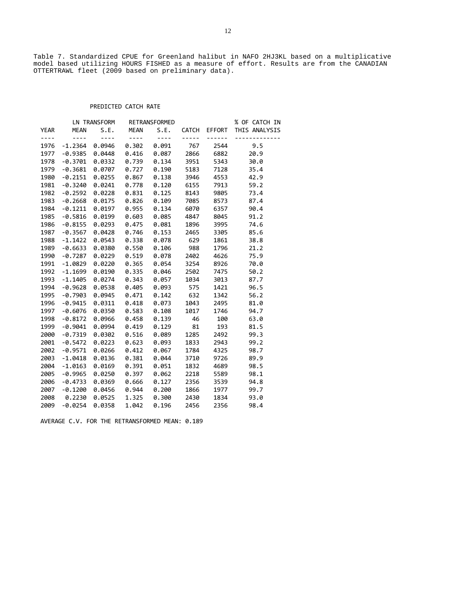Table 7. Standardized CPUE for Greenland halibut in NAFO 2HJ3KL based on a multiplicative model based utilizing HOURS FISHED as a measure of effort. Results are from the CANADIAN OTTERTRAWL fleet (2009 based on preliminary data).

## PREDICTED CATCH RATE

|             |             | LN TRANSFORM |             | RETRANSFORMED |              |        | % OF CATCH IN |
|-------------|-------------|--------------|-------------|---------------|--------------|--------|---------------|
| <b>YEAR</b> | <b>MEAN</b> | S.E.         | <b>MEAN</b> | S.E.          | <b>CATCH</b> | EFFORT | THIS ANALYSIS |
| $- - - -$   | $- - - -$   | $- - - -$    | $- - - -$   | $- - - -$     | $- - - - -$  |        |               |
| 1976        | $-1.2364$   | 0.0946       | 0.302       | 0.091         | 767          | 2544   | 9.5           |
| 1977        | $-0.9385$   | 0.0448       | 0.416       | 0.087         | 2866         | 6882   | 20.9          |
| 1978        | $-0.3701$   | 0.0332       | 0.739       | 0.134         | 3951         | 5343   | 30.0          |
| 1979        | $-0.3681$   | 0.0707       | 0.727       | 0.190         | 5183         | 7128   | 35.4          |
| 1980        | $-0.2151$   | 0.0255       | 0.867       | 0.138         | 3946         | 4553   | 42.9          |
| 1981        | $-0.3240$   | 0.0241       | 0.778       | 0.120         | 6155         | 7913   | 59.2          |
| 1982        | $-0.2592$   | 0.0228       | 0.831       | 0.125         | 8143         | 9805   | 73.4          |
| 1983        | $-0.2668$   | 0.0175       | 0.826       | 0.109         | 7085         | 8573   | 87.4          |
| 1984        | $-0.1211$   | 0.0197       | 0.955       | 0.134         | 6070         | 6357   | 90.4          |
| 1985        | $-0.5816$   | 0.0199       | 0.603       | 0.085         | 4847         | 8045   | 91.2          |
| 1986        | $-0.8155$   | 0.0293       | 0.475       | 0.081         | 1896         | 3995   | 74.6          |
| 1987        | $-0.3567$   | 0.0428       | 0.746       | 0.153         | 2465         | 3305   | 85.6          |
| 1988        | $-1.1422$   | 0.0543       | 0.338       | 0.078         | 629          | 1861   | 38.8          |
| 1989        | $-0.6633$   | 0.0380       | 0.550       | 0.106         | 988          | 1796   | 21.2          |
| 1990        | $-0.7287$   | 0.0229       | 0.519       | 0.078         | 2402         | 4626   | 75.9          |
| 1991        | $-1.0829$   | 0.0220       | 0.365       | 0.054         | 3254         | 8926   | 70.0          |
| 1992        | $-1.1699$   | 0.0190       | 0.335       | 0.046         | 2502         | 7475   | 50.2          |
| 1993        | $-1.1405$   | 0.0274       | 0.343       | 0.057         | 1034         | 3013   | 87.7          |
| 1994        | $-0.9628$   | 0.0538       | 0.405       | 0.093         | 575          | 1421   | 96.5          |
| 1995        | $-0.7903$   | 0.0945       | 0.471       | 0.142         | 632          | 1342   | 56.2          |
| 1996        | $-0.9415$   | 0.0311       | 0.418       | 0.073         | 1043         | 2495   | 81.0          |
| 1997        | $-0.6076$   | 0.0350       | 0.583       | 0.108         | 1017         | 1746   | 94.7          |
| 1998        | $-0.8172$   | 0.0966       | 0.458       | 0.139         | 46           | 100    | 63.0          |
| 1999        | $-0.9041$   | 0.0994       | 0.419       | 0.129         | 81           | 193    | 81.5          |
| 2000        | $-0.7319$   | 0.0302       | 0.516       | 0.089         | 1285         | 2492   | 99.3          |
| 2001        | $-0.5472$   | 0.0223       | 0.623       | 0.093         | 1833         | 2943   | 99.2          |
| 2002        | $-0.9571$   | 0.0266       | 0.412       | 0.067         | 1784         | 4325   | 98.7          |
| 2003        | $-1.0418$   | 0.0136       | 0.381       | 0.044         | 3710         | 9726   | 89.9          |
| 2004        | $-1.0163$   | 0.0169       | 0.391       | 0.051         | 1832         | 4689   | 98.5          |
| 2005        | $-0.9965$   | 0.0250       | 0.397       | 0.062         | 2218         | 5589   | 98.1          |
| 2006        | $-0.4733$   | 0.0369       | 0.666       | 0.127         | 2356         | 3539   | 94.8          |
| 2007        | $-0.1200$   | 0.0456       | 0.944       | 0.200         | 1866         | 1977   | 99.7          |
| 2008        | 0.2230      | 0.0525       | 1.325       | 0.300         | 2430         | 1834   | 93.0          |
| 2009        | $-0.0254$   | 0.0358       | 1.042       | 0.196         | 2456         | 2356   | 98.4          |

AVERAGE C.V. FOR THE RETRANSFORMED MEAN: 0.189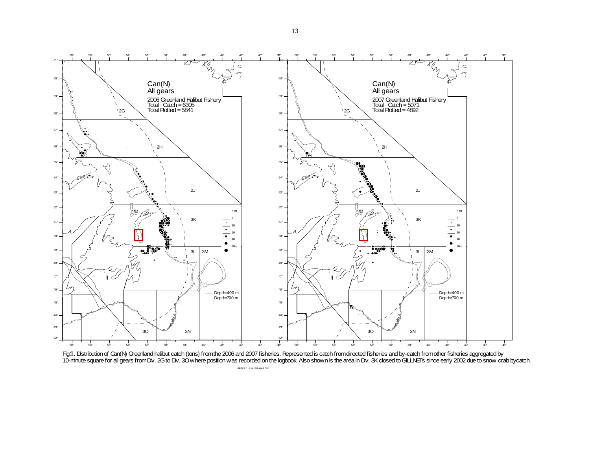

Fig.1. Distribution of Can(N) Greenland halibut catch (tons) from the 2006 and 2007 fisheries. Represented is catch from directed fisheries and by-catch from other fisheries aggregated by 10-minute square for all gears from Div. 2G to Div. 3O where position was recorded on the logbook. Also shown is the area in Div. 3K closed to GILLNETs since early 2002 due to snow crab bycatch. 1. I

ghl20 0 6 +7 zif cat 2 g3 oLan d. ACN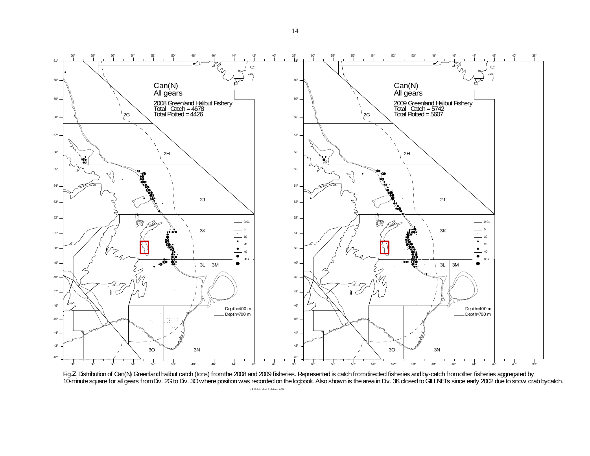



ghl2 008 +9 zif cat 2 g3 oLand. ACN

<sup>14</sup>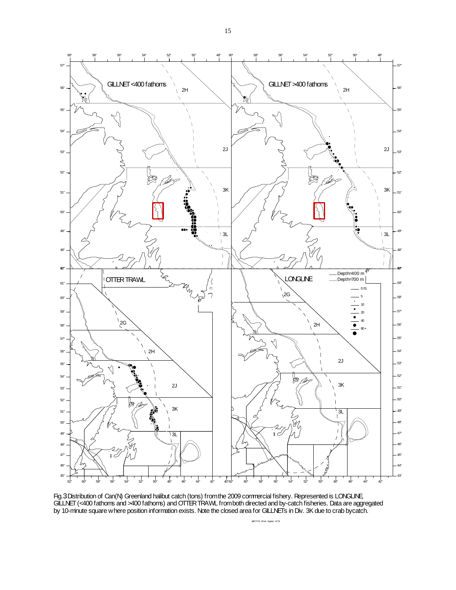

Fig. 3 Distribution of Can(N) Greenland halibut catch (tons) from the 2009 commercial fishery. Represented is LONGLINE, GILLNET (<400 fathoms and >400 fathoms) and OTTER TRAWL from both directed and by-catch fisheries. Data are aggregated by 10-minute square where position information exists. Note the closed area for GILLNETs in Div. 3K due to crab bycatch. 3

ghl2 0 0 9 zif cat bygear. ACN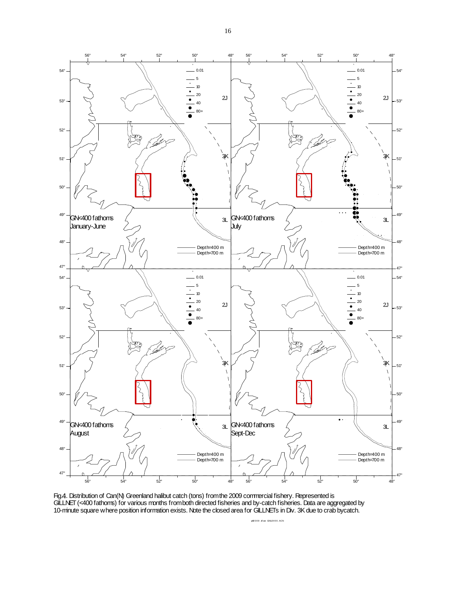

Fig. 4. Distribution of Can(N) Greenland halibut catch (tons) from the 2009 commercial fishery. Represented is GILLNET (<400 fathoms) for various months from both directed fisheries and by-catch fisheries. Data are aggregated by 10-minute square where position information exists. Note the closed area for GILLNETs in Div. 3K due to crab bycatch. 4. I

ghl2 0 0 9 zif cat GNLE4 0 0 . ACN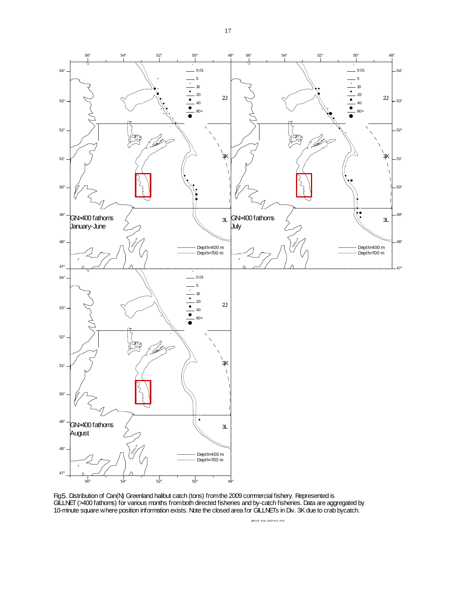

Fig. . Distribution of Can(N) Greenland halibut catch (tons) from the 2009 commercial fishery. Represented is GILLNET (>400 fathoms) for various months from both directed fisheries and by-catch fisheries. Data are aggregated by 10-minute square where position information exists. Note the closed area for GILLNETs in Div. 3K due to crab bycatch.  $5.1$ 

ghl2 0 0 9 zif cat GNGT4 0 0 . ACN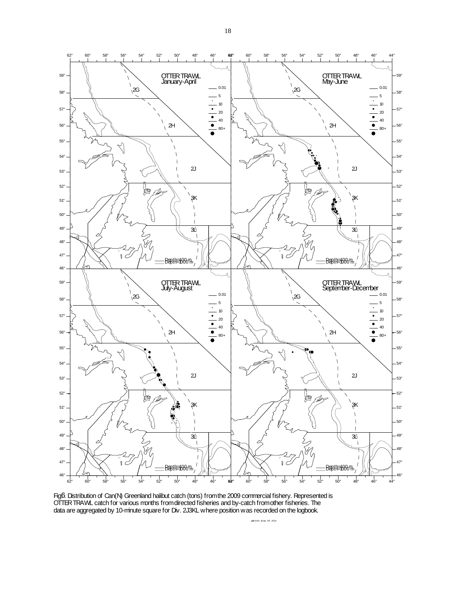

Fig.6. Distribution of Can(N) Greenland halibut catch (tons) from the 2009 commercial fishery. Represented is OTTER TRAWL catch for various months from directed fisheries and by-catch from other fisheries. The data are aggregated by 10-minute square for Div. 2J3KL where position was recorded on the logbook. б. I

ghl2 0 0 9 zif cat OT. ACN